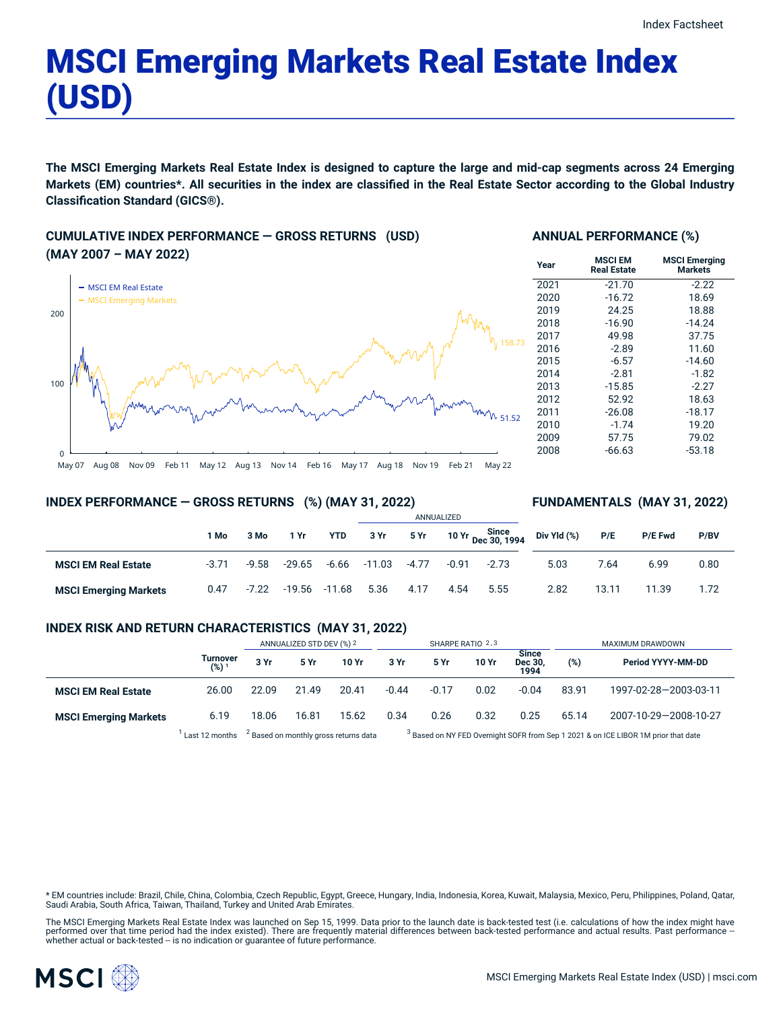# MSCI Emerging Markets Real Estate Index (USD)

The MSCI Emerging Markets Real Estate Index is designed to capture the large and mid-cap segments across 24 Emerging Markets (EM) countries\*. All securities in the index are classified in the Real Estate Sector according to the Global Industry **Classification Standard (GICS®).**

## **CUMULATIVE INDEX PERFORMANCE — GROSS RETURNS (USD) (MAY 2007 – MAY 2022)**



#### **ANNUAL PERFORMANCE (%)**

| Year | <b>MSCI EM</b><br><b>Real Estate</b> | <b>MSCI Emerging</b><br><b>Markets</b> |
|------|--------------------------------------|----------------------------------------|
| 2021 | $-21.70$                             | $-2.22$                                |
| 2020 | $-16.72$                             | 18.69                                  |
| 2019 | 24.25                                | 18.88                                  |
| 2018 | $-16.90$                             | $-14.24$                               |
| 2017 | 49.98                                | 37.75                                  |
| 2016 | $-2.89$                              | 11.60                                  |
| 2015 | $-6.57$                              | $-14.60$                               |
| 2014 | $-2.81$                              | $-1.82$                                |
| 2013 | $-15.85$                             | $-2.27$                                |
| 2012 | 52.92                                | 18.63                                  |
| 2011 | $-26.08$                             | $-18.17$                               |
| 2010 | $-1.74$                              | 19.20                                  |
| 2009 | 57.75                                | 79.02                                  |
| 2008 | -66.63                               | $-53.18$                               |

**FUNDAMENTALS (MAY 31, 2022)**

#### **INDEX PERFORMANCE — GROSS RETURNS (%) (MAY 31, 2022)**

#### ANNUALIZED **1 Mo 3 Mo 1 Yr YTD 3 Yr 5 Yr 10 Yr Since Dec 30, 1994 MSCI EM Real Estate** -3.71 -9.58 -29.65 -6.66 -11.03 -4.77 -0.91 -2.73 **MSCI Emerging Markets** 0.47 -7.22 -19.56 -11.68 5.36 4.17 4.54 5.55 **Div Yld (%) P/E P/E Fwd P/BV** 5.03 7.64 6.99 0.80 2.82 13.11 11.39 1.72

## **INDEX RISK AND RETURN CHARACTERISTICS (MAY 31, 2022)**

|                              |                                | ANNUALIZED STD DEV (%) 2                         |       | SHARPE RATIO 2,3 |         |                                                                                               |       | MAXIMUM DRAWDOWN                |       |                       |
|------------------------------|--------------------------------|--------------------------------------------------|-------|------------------|---------|-----------------------------------------------------------------------------------------------|-------|---------------------------------|-------|-----------------------|
|                              | Turnover<br>$(%)$ <sup>1</sup> | 3 Yr                                             | 5 Yr  | 10 Yr            | 3 Yr    | 5 Yr                                                                                          | 10 Yr | <b>Since</b><br>Dec 30.<br>1994 | (%)   | Period YYYY-MM-DD     |
| <b>MSCI EM Real Estate</b>   | 26.00                          | 22.09                                            | 21.49 | 20.41            | $-0.44$ | $-0.17$                                                                                       | 0.02  | $-0.04$                         | 83.91 | 1997-02-28-2003-03-11 |
| <b>MSCI Emerging Markets</b> | 6.19                           | 18.06                                            | 16.81 | 15.62            | 0.34    | 0.26                                                                                          | 0.32  | 0.25                            | 65.14 | 2007-10-29-2008-10-27 |
|                              | Last 12 months                 | <sup>2</sup> Based on monthly gross returns data |       |                  |         | <sup>3</sup> Based on NY FED Overnight SOFR from Sep 1 2021 & on ICE LIBOR 1M prior that date |       |                                 |       |                       |

\* EM countries include: Brazil, Chile, China, Colombia, Czech Republic, Egypt, Greece, Hungary, India, Indonesia, Korea, Kuwait, Malaysia, Mexico, Peru, Philippines, Poland, Qatar, Saudi Arabia, South Africa, Taiwan, Thailand, Turkey and United Arab Emirates.

The MSCI Emerging Markets Real Estate Index was launched on Sep 15, 1999. Data prior to the launch date is back-tested test (i.e. calculations of how the index might have<br>performed over that time period had the index exist

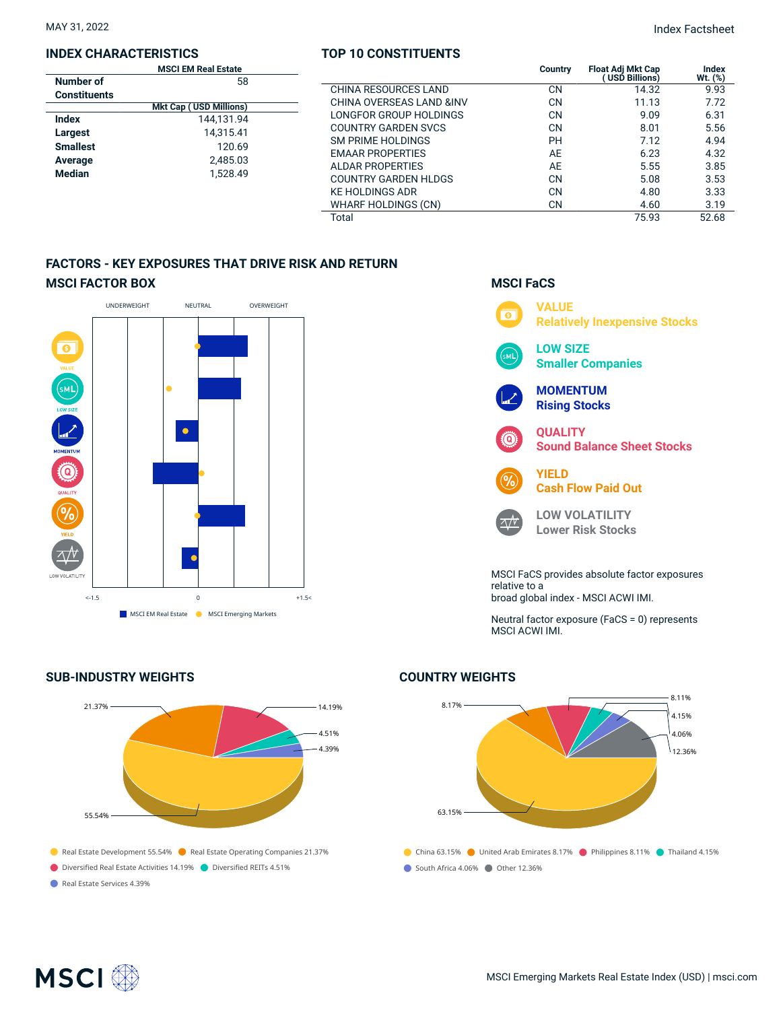#### **INDEX CHARACTERISTICS**

| <b>MSCI EM Real Estate</b> |                               |  |  |
|----------------------------|-------------------------------|--|--|
| Number of                  | 58                            |  |  |
| <b>Constituents</b>        |                               |  |  |
|                            | <b>Mkt Cap (USD Millions)</b> |  |  |
| Index                      | 144.131.94                    |  |  |
| Largest                    | 14,315.41                     |  |  |
| <b>Smallest</b>            | 120.69                        |  |  |
| Average                    | 2.485.03                      |  |  |
| <b>Median</b>              | 1.528.49                      |  |  |
|                            |                               |  |  |

#### **TOP 10 CONSTITUENTS**

MAY 31, 2022 Index Factsheet

|                     | <b>MSCI EM Real Estate</b>     |                             | Country   | <b>Float Adj Mkt Cap</b> | Index   |
|---------------------|--------------------------------|-----------------------------|-----------|--------------------------|---------|
| Jumber of           | 58                             |                             |           | USD Billions)            | Wt. (%) |
| <b>Constituents</b> |                                | CHINA RESOURCES LAND        | <b>CN</b> | 14.32                    | 9.93    |
|                     | <b>Mkt Cap (USD Millions)</b>  | CHINA OVERSEAS LAND & INV   | <b>CN</b> | 11.13                    | 7.72    |
| ndex                | 144,131.94                     | LONGFOR GROUP HOLDINGS      | CN        | 9.09                     | 6.31    |
| .argest             | 14,315.41                      | <b>COUNTRY GARDEN SVCS</b>  | <b>CN</b> | 8.01                     | 5.56    |
| <b>Smallest</b>     |                                | <b>SM PRIME HOLDINGS</b>    | PH        | 7.12                     | 4.94    |
|                     | 120.69<br>2,485.03<br>1,528.49 | <b>EMAAR PROPERTIES</b>     | AE        | 6.23                     | 4.32    |
| <b>\verage</b>      |                                | ALDAR PROPERTIES            | AE        | 5.55                     | 3.85    |
| <b>Aedian</b>       |                                | <b>COUNTRY GARDEN HLDGS</b> | <b>CN</b> | 5.08                     | 3.53    |
|                     |                                | <b>KE HOLDINGS ADR</b>      | CN        | 4.80                     | 3.33    |
|                     |                                | WHARF HOLDINGS (CN)         | <b>CN</b> | 4.60                     | 3.19    |
|                     |                                | Total                       |           | 75.93                    | 52.68   |
|                     |                                |                             |           |                          |         |

## **FACTORS - KEY EXPOSURES THAT DRIVE RISK AND RETURN MSCI FACTOR BOX**



## **SUB-INDUSTRY WEIGHTS**





Neutral factor exposure (FaCS = 0) represents MSCI ACWI IMI.

## **COUNTRY WEIGHTS**